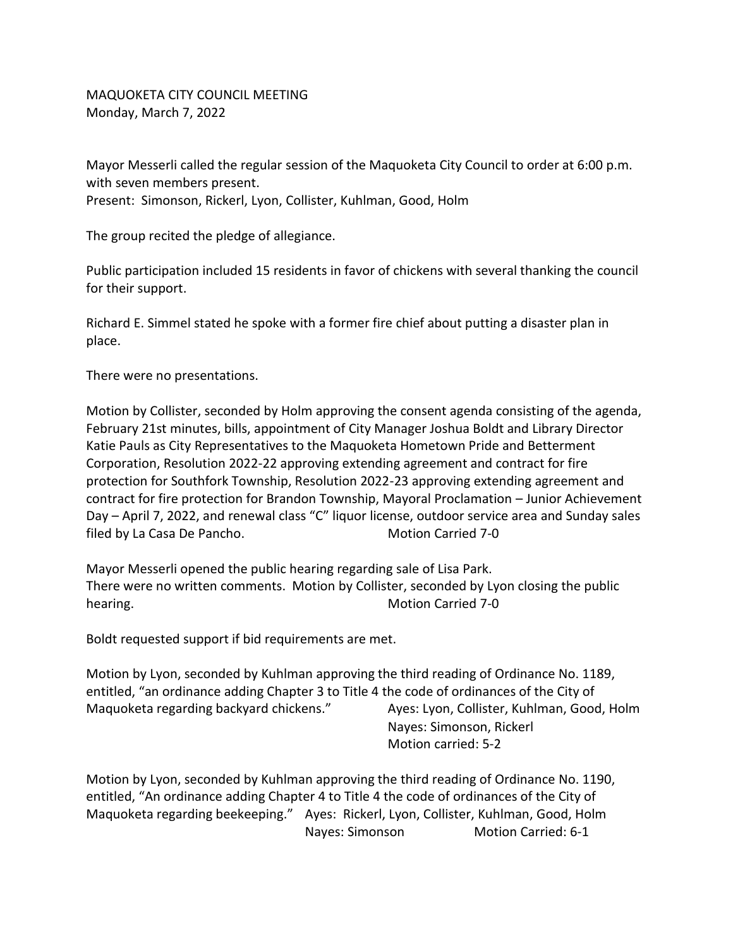MAQUOKETA CITY COUNCIL MEETING Monday, March 7, 2022

Mayor Messerli called the regular session of the Maquoketa City Council to order at 6:00 p.m. with seven members present. Present: Simonson, Rickerl, Lyon, Collister, Kuhlman, Good, Holm

The group recited the pledge of allegiance.

Public participation included 15 residents in favor of chickens with several thanking the council for their support.

Richard E. Simmel stated he spoke with a former fire chief about putting a disaster plan in place.

There were no presentations.

Motion by Collister, seconded by Holm approving the consent agenda consisting of the agenda, February 21st minutes, bills, appointment of City Manager Joshua Boldt and Library Director Katie Pauls as City Representatives to the Maquoketa Hometown Pride and Betterment Corporation, Resolution 2022-22 approving extending agreement and contract for fire protection for Southfork Township, Resolution 2022-23 approving extending agreement and contract for fire protection for Brandon Township, Mayoral Proclamation – Junior Achievement Day – April 7, 2022, and renewal class "C" liquor license, outdoor service area and Sunday sales filed by La Casa De Pancho. Motion Carried 7-0

Mayor Messerli opened the public hearing regarding sale of Lisa Park. There were no written comments. Motion by Collister, seconded by Lyon closing the public hearing. The matrix of the matrix of the Motion Carried 7-0

Boldt requested support if bid requirements are met.

Motion by Lyon, seconded by Kuhlman approving the third reading of Ordinance No. 1189, entitled, "an ordinance adding Chapter 3 to Title 4 the code of ordinances of the City of Maquoketa regarding backyard chickens." Ayes: Lyon, Collister, Kuhlman, Good, Holm

Nayes: Simonson, Rickerl Motion carried: 5-2

Motion by Lyon, seconded by Kuhlman approving the third reading of Ordinance No. 1190, entitled, "An ordinance adding Chapter 4 to Title 4 the code of ordinances of the City of Maquoketa regarding beekeeping." Ayes: Rickerl, Lyon, Collister, Kuhlman, Good, Holm Nayes: Simonson Motion Carried: 6-1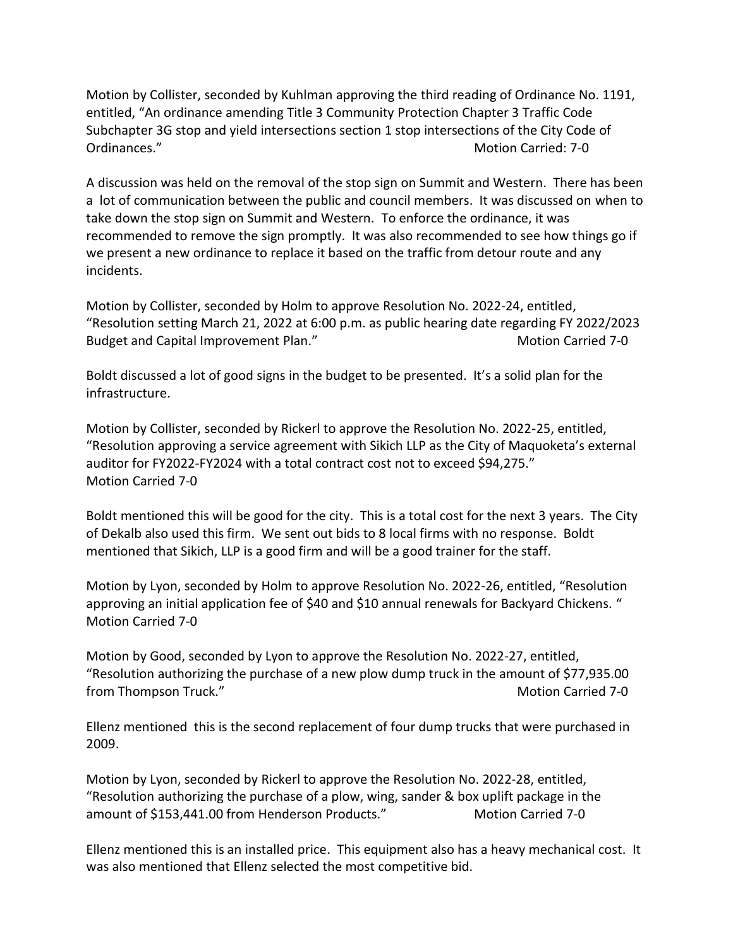Motion by Collister, seconded by Kuhlman approving the third reading of Ordinance No. 1191, entitled, "An ordinance amending Title 3 Community Protection Chapter 3 Traffic Code Subchapter 3G stop and yield intersections section 1 stop intersections of the City Code of Ordinances." 2008 - 2009 Motion Carried: 7-0

A discussion was held on the removal of the stop sign on Summit and Western. There has been a lot of communication between the public and council members. It was discussed on when to take down the stop sign on Summit and Western. To enforce the ordinance, it was recommended to remove the sign promptly. It was also recommended to see how things go if we present a new ordinance to replace it based on the traffic from detour route and any incidents.

Motion by Collister, seconded by Holm to approve Resolution No. 2022-24, entitled, "Resolution setting March 21, 2022 at 6:00 p.m. as public hearing date regarding FY 2022/2023 Budget and Capital Improvement Plan." Motion Carried 7-0

Boldt discussed a lot of good signs in the budget to be presented. It's a solid plan for the infrastructure.

Motion by Collister, seconded by Rickerl to approve the Resolution No. 2022-25, entitled, "Resolution approving a service agreement with Sikich LLP as the City of Maquoketa's external auditor for FY2022-FY2024 with a total contract cost not to exceed \$94,275." Motion Carried 7-0

Boldt mentioned this will be good for the city. This is a total cost for the next 3 years. The City of Dekalb also used this firm. We sent out bids to 8 local firms with no response. Boldt mentioned that Sikich, LLP is a good firm and will be a good trainer for the staff.

Motion by Lyon, seconded by Holm to approve Resolution No. 2022-26, entitled, "Resolution approving an initial application fee of \$40 and \$10 annual renewals for Backyard Chickens. " Motion Carried 7-0

Motion by Good, seconded by Lyon to approve the Resolution No. 2022-27, entitled, "Resolution authorizing the purchase of a new plow dump truck in the amount of \$77,935.00 from Thompson Truck." The Controller of the Controller of the Motion Carried 7-0

Ellenz mentioned this is the second replacement of four dump trucks that were purchased in 2009.

Motion by Lyon, seconded by Rickerl to approve the Resolution No. 2022-28, entitled, "Resolution authorizing the purchase of a plow, wing, sander & box uplift package in the amount of \$153,441.00 from Henderson Products." Motion Carried 7-0

Ellenz mentioned this is an installed price. This equipment also has a heavy mechanical cost. It was also mentioned that Ellenz selected the most competitive bid.